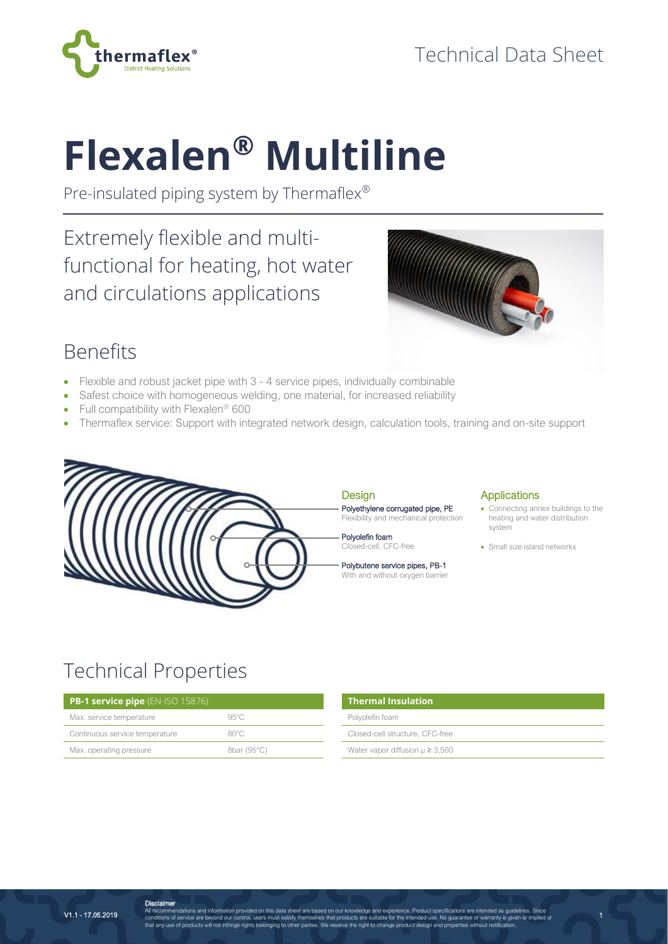

# **Flexalen® Multiline**

Pre-insulated piping system by Thermaflex®

Extremely flexible and multifunctional for heating, hot water and circulations applications



## Benefits

- Flexible and robust jacket pipe with 3 4 service pipes, individually combinable
- Safest choice with homogeneous welding, one material, for increased reliability
- Full compatibility with Flexalen® 600
- Thermaflex service: Support with integrated network design, calculation tools, training and on-site support



#### **Design** Polyethylene corrugated pipe, PE Flexibility and mechanical protection

Polyolefin foam Closed-cell, CFC-free

Polybutene service pipes, PB-1 With and without oxygen barrier

#### **Applications**

• Connecting annex buildings to the heating and water distribution system

1

• Small size island networks

# Technical Properties

**Disclaimer** 

| <b>PB-1 service pipe</b> $(EN-ISO 15876)$ | Thermal Insulation |                                        |
|-------------------------------------------|--------------------|----------------------------------------|
| Max. service temperature                  | 95°C               | Polyolefin foam                        |
| Continuous service temperature            | $80^{\circ}$ C     | Closed-cell structure, CFC-free        |
| Max. operating pressure                   | 8bar (95°C)        | Water vapor diffusion $\mu \geq 3,500$ |

| <b>Thermal Insulation</b>              |  |
|----------------------------------------|--|
| Polyolefin foam                        |  |
| Closed-cell structure, CFC-free        |  |
| Water vapor diffusion $\mu \geq 3,500$ |  |

V1.1 - 17.05.2019